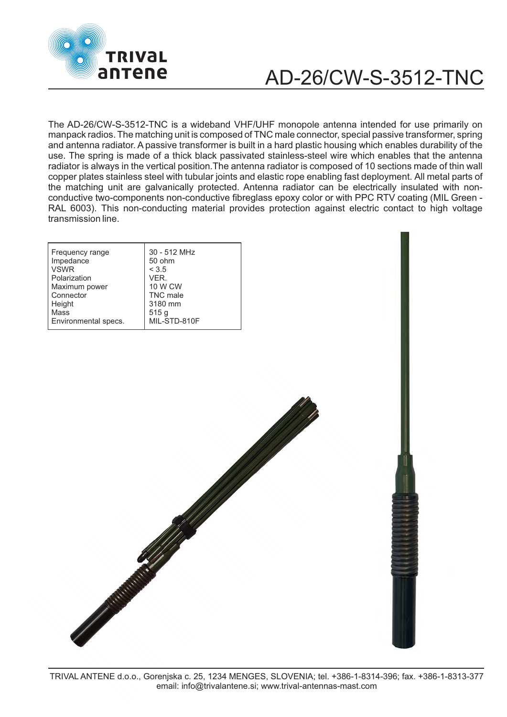

## AD-26/CW-S-3512-TNC

The AD-26/CW-S-3512-TNC is a wideband VHF/UHF monopole antenna intended for use primarily on manpack radios. The matching unit is composed of TNC male connector, special passive transformer, spring and antenna radiator. A passive transformer is built in a hard plastic housing which enables durability of the use. The spring is made of a thick black passivated stainless-steel wire which enables that the antenna radiator is always in the vertical position.The antenna radiator is composed of 10 sections made of thin wall copper plates stainless steel with tubular joints and elastic rope enabling fast deployment. All metal parts of the matching unit are galvanically protected. Antenna radiator can be electrically insulated with nonconductive two-components non-conductive fibreglass epoxy color or with PPC RTV coating (MIL Green - RAL 6003). This non-conducting material provides protection against electric contact to high voltage transmission line.

| Frequency range      | 30 - 512 MHz    |
|----------------------|-----------------|
| Impedance            | 50 ohm          |
| <b>VSWR</b>          | < 3.5           |
| Polarization         | VER.            |
| Maximum power        | 10 W CW         |
| Connector            | <b>TNC</b> male |
| Height               | 3180 mm         |
| Mass                 | 515g            |
| Environmental specs. | MIL-STD-810F    |

Anticipal Contractor